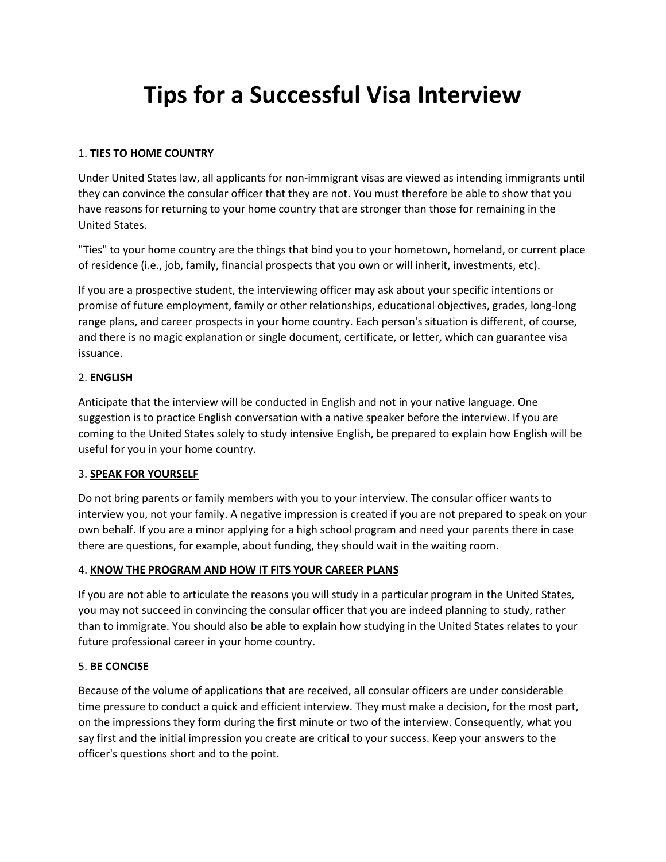# **Tips for a Successful Visa Interview**

## 1. **TIES TO HOME COUNTRY**

Under United States law, all applicants for non-immigrant visas are viewed as intending immigrants until they can convince the consular officer that they are not. You must therefore be able to show that you have reasons for returning to your home country that are stronger than those for remaining in the United States.

"Ties" to your home country are the things that bind you to your hometown, homeland, or current place of residence (i.e., job, family, financial prospects that you own or will inherit, investments, etc).

If you are a prospective student, the interviewing officer may ask about your specific intentions or promise of future employment, family or other relationships, educational objectives, grades, long-long range plans, and career prospects in your home country. Each person's situation is different, of course, and there is no magic explanation or single document, certificate, or letter, which can guarantee visa issuance.

# 2. **ENGLISH**

Anticipate that the interview will be conducted in English and not in your native language. One suggestion is to practice English conversation with a native speaker before the interview. If you are coming to the United States solely to study intensive English, be prepared to explain how English will be useful for you in your home country.

## 3. **SPEAK FOR YOURSELF**

Do not bring parents or family members with you to your interview. The consular officer wants to interview you, not your family. A negative impression is created if you are not prepared to speak on your own behalf. If you are a minor applying for a high school program and need your parents there in case there are questions, for example, about funding, they should wait in the waiting room.

## 4. **KNOW THE PROGRAM AND HOW IT FITS YOUR CAREER PLANS**

If you are not able to articulate the reasons you will study in a particular program in the United States, you may not succeed in convincing the consular officer that you are indeed planning to study, rather than to immigrate. You should also be able to explain how studying in the United States relates to your future professional career in your home country.

## 5. **BE CONCISE**

Because of the volume of applications that are received, all consular officers are under considerable time pressure to conduct a quick and efficient interview. They must make a decision, for the most part, on the impressions they form during the first minute or two of the interview. Consequently, what you say first and the initial impression you create are critical to your success. Keep your answers to the officer's questions short and to the point.